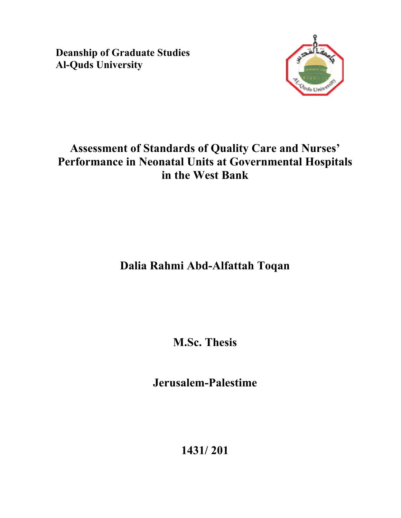**Deanship of Graduate Studies Al-Quds University** 



# **Assessment of Standards of Quality Care and Nurses' Performance in Neonatal Units at Governmental Hospitals in the West Bank**

# **Dalia Rahmi Abd-Alfattah Toqan**

**M.Sc. Thesis** 

**Jerusalem-Palestime** 

**1431/ 201**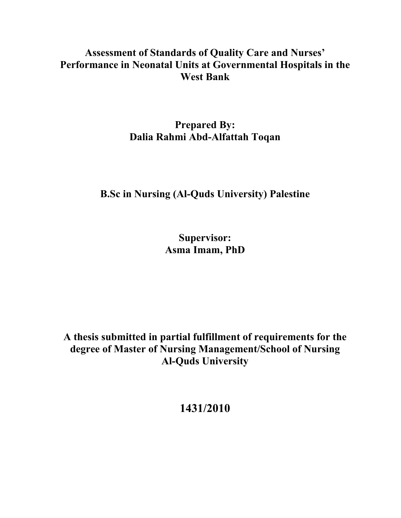### **Assessment of Standards of Quality Care and Nurses' Performance in Neonatal Units at Governmental Hospitals in the West Bank**

### **Prepared By: Dalia Rahmi Abd-Alfattah Toqan**

### **B.Sc in Nursing (Al-Quds University) Palestine**

**Supervisor: Asma Imam, PhD** 

**A thesis submitted in partial fulfillment of requirements for the degree of Master of Nursing Management/School of Nursing Al-Quds University** 

**1431/2010**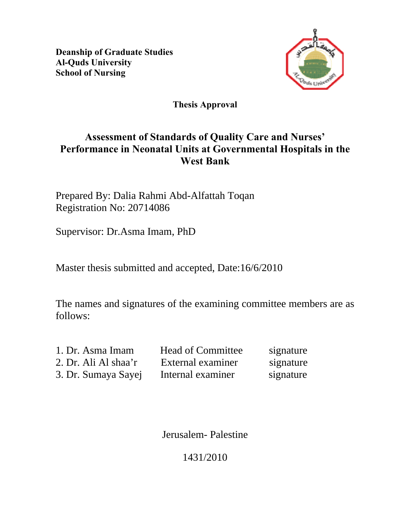**Deanship of Graduate Studies Al-Quds University School of Nursing** 



#### **Thesis Approval**

### **Assessment of Standards of Quality Care and Nurses' Performance in Neonatal Units at Governmental Hospitals in the West Bank**

Prepared By: Dalia Rahmi Abd-Alfattah Toqan Registration No: 20714086

Supervisor: Dr.Asma Imam, PhD

Master thesis submitted and accepted, Date:16/6/2010

The names and signatures of the examining committee members are as follows:

| 1. Dr. Asma Imam     | <b>Head of Committee</b> | signature |
|----------------------|--------------------------|-----------|
| 2. Dr. Ali Al shaa'r | External examiner        | signature |
| 3. Dr. Sumaya Sayej  | Internal examiner        | signature |

Jerusalem- Palestine

1431/2010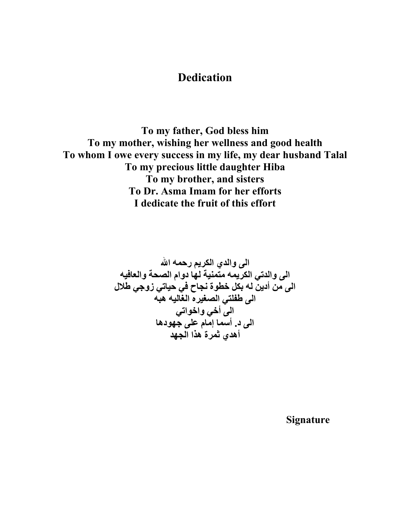### **Dedication**

**To my father, God bless him To my mother, wishing her wellness and good health To whom I owe every success in my life, my dear husband Talal To my precious little daughter Hiba To my brother, and sisters To Dr. Asma Imam for her efforts I dedicate the fruit of this effort** 

**الى والدي الكريم رحمه االله الى والدتي الكريمه متمنية لها دوام الصحة والعافيه الى من أدين له بكل خطوة نجاح في حياتي زوجي طلال الى طفلتي الصغيره الغاليه هبه الى أخي واخواتي الى د. أسما إمام على جهودها أهدي ثمرة هذا الجهد**

 **Signature**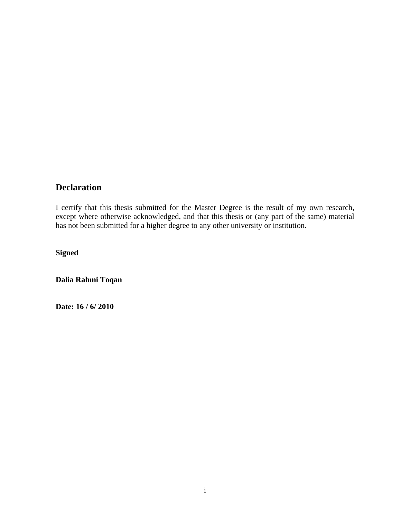#### **Declaration**

I certify that this thesis submitted for the Master Degree is the result of my own research, except where otherwise acknowledged, and that this thesis or (any part of the same) material has not been submitted for a higher degree to any other university or institution.

**Signed** 

**Dalia Rahmi Toqan** 

**Date: 16 / 6/ 2010**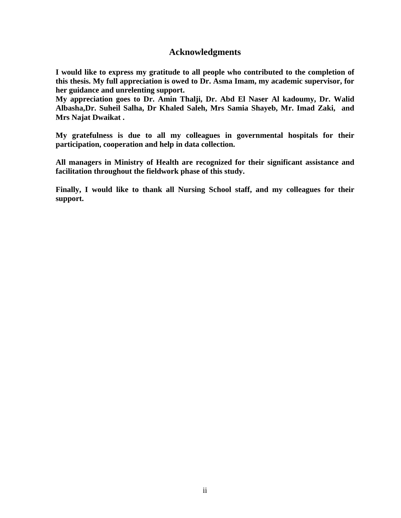#### **Acknowledgments**

**I would like to express my gratitude to all people who contributed to the completion of this thesis. My full appreciation is owed to Dr. Asma Imam, my academic supervisor, for her guidance and unrelenting support.** 

**My appreciation goes to Dr. Amin Thalji, Dr. Abd El Naser Al kadoumy, Dr. Walid Albasha,Dr. Suheil Salha, Dr Khaled Saleh, Mrs Samia Shayeb, Mr. Imad Zaki, and Mrs Najat Dwaikat .** 

**My gratefulness is due to all my colleagues in governmental hospitals for their participation, cooperation and help in data collection.** 

**All managers in Ministry of Health are recognized for their significant assistance and facilitation throughout the fieldwork phase of this study.** 

**Finally, I would like to thank all Nursing School staff, and my colleagues for their support.**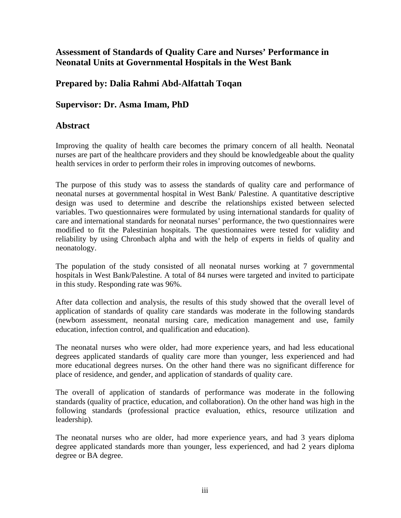#### **Assessment of Standards of Quality Care and Nurses' Performance in Neonatal Units at Governmental Hospitals in the West Bank**

#### **Prepared by: Dalia Rahmi Abd-Alfattah Toqan**

#### **Supervisor: Dr. Asma Imam, PhD**

#### **Abstract**

Improving the quality of health care becomes the primary concern of all health. Neonatal nurses are part of the healthcare providers and they should be knowledgeable about the quality health services in order to perform their roles in improving outcomes of newborns.

The purpose of this study was to assess the standards of quality care and performance of neonatal nurses at governmental hospital in West Bank/ Palestine. A quantitative descriptive design was used to determine and describe the relationships existed between selected variables. Two questionnaires were formulated by using international standards for quality of care and international standards for neonatal nurses' performance, the two questionnaires were modified to fit the Palestinian hospitals. The questionnaires were tested for validity and reliability by using Chronbach alpha and with the help of experts in fields of quality and neonatology.

The population of the study consisted of all neonatal nurses working at 7 governmental hospitals in West Bank/Palestine. A total of 84 nurses were targeted and invited to participate in this study. Responding rate was 96%.

After data collection and analysis, the results of this study showed that the overall level of application of standards of quality care standards was moderate in the following standards (newborn assessment, neonatal nursing care, medication management and use, family education, infection control, and qualification and education).

The neonatal nurses who were older, had more experience years, and had less educational degrees applicated standards of quality care more than younger, less experienced and had more educational degrees nurses. On the other hand there was no significant difference for place of residence, and gender, and application of standards of quality care.

The overall of application of standards of performance was moderate in the following standards (quality of practice, education, and collaboration). On the other hand was high in the following standards (professional practice evaluation, ethics, resource utilization and leadership).

The neonatal nurses who are older, had more experience years, and had 3 years diploma degree applicated standards more than younger, less experienced, and had 2 years diploma degree or BA degree.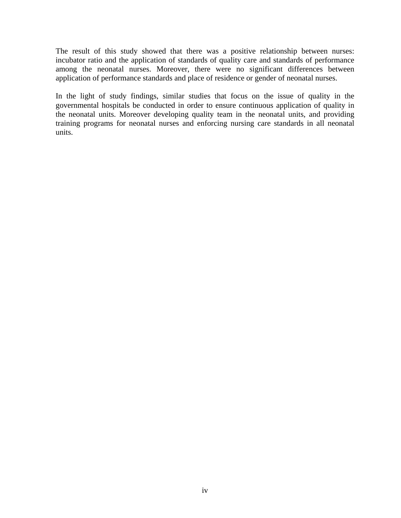The result of this study showed that there was a positive relationship between nurses: incubator ratio and the application of standards of quality care and standards of performance among the neonatal nurses. Moreover, there were no significant differences between application of performance standards and place of residence or gender of neonatal nurses.

In the light of study findings, similar studies that focus on the issue of quality in the governmental hospitals be conducted in order to ensure continuous application of quality in the neonatal units. Moreover developing quality team in the neonatal units, and providing training programs for neonatal nurses and enforcing nursing care standards in all neonatal units.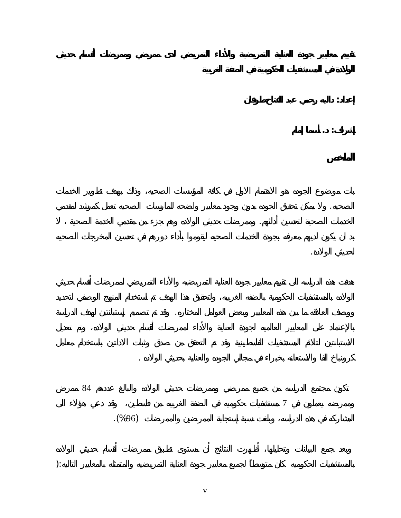$84$ 

 $\overline{7}$ 

**إعداد: داليه رحمي عبد الفتاح طوقان** 

**إشراف: . أسما إمام** 

لحديثي الولادة.

المشاركه في ذه الدراسه، وبلغت نسبة إستجابة الممرضين والممرضات (%96).

بالمستشفيات الحكوميه كان متوسطاً لجميع معايير جودة العناية التمريضيه والمتمثله بالمعايير التاليه:(

الصحيه. ولا يمكن تحقيق الجوده بدون وجود معايير واضحه للمارسات الصحيه تعمل كمرشد لمقدمي

ووصف العلاقه ما بين هذه المعايير وبعض العوامل المختاره. وقد تم تصميم إستبانتين لهدف الدراسة

كرونباخ الفا والاستعانه بخبراء في مجالي الجوده والعناية بحديثي الولاده .

الخدمات الصحية لتحسين أدائهم. وممرضات حديثي الولاده وهم جزء من مقدمي الخدمة الصحية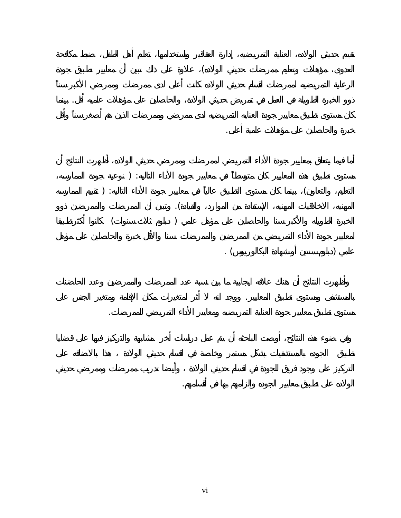

بالمستشفى ومستوى تطبيق المعايير. ووجد انه أثر لمتغيرات مكان الإقامة ومتغير الجنس على

الولاده على تطبيق معايير الجوده وإلزامهم بها في أقسامهم.

مستوى تطبيق معايير جودة العناية التمريضيه ومعايير الأداء التمريضي للممرضات.

خبرة والحاصلين على مؤهلات علمية أعلى.

ذو الخبرة الطويلة في العمل في تمريض حديثي الولادة، والحاصلين على مؤهلات علميه أقل. بينما

العدوى، مؤهلات وتعليم ممرضات حديثي الولاده) علاوة على ذلك تبين أن معايير تطبيق جودة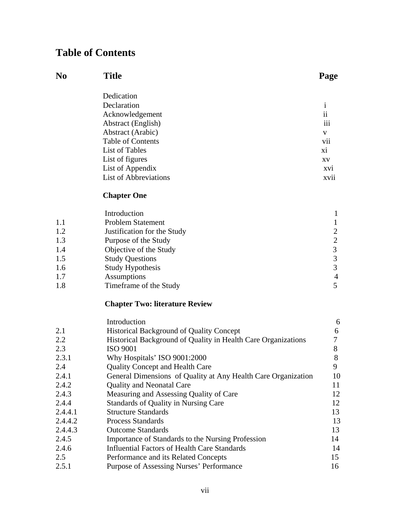## **Table of Contents**

| No | <b>Title</b>                 | Page       |
|----|------------------------------|------------|
|    | Dedication                   |            |
|    | Declaration                  |            |
|    | Acknowledgement              | ii         |
|    | <b>Abstract</b> (English)    | iii        |
|    | Abstract (Arabic)            | V          |
|    | <b>Table of Contents</b>     | vii        |
|    | List of Tables               | xi         |
|    | List of figures              | XV         |
|    | List of Appendix             | <b>XVI</b> |
|    | <b>List of Abbreviations</b> | xvii       |
|    |                              |            |

#### **Chapter One**

|     | Introduction                |                |
|-----|-----------------------------|----------------|
| 1.1 | <b>Problem Statement</b>    |                |
| 1.2 | Justification for the Study |                |
| 1.3 | Purpose of the Study        | 2              |
| 1.4 | Objective of the Study      |                |
| 1.5 | <b>Study Questions</b>      |                |
| 1.6 | <b>Study Hypothesis</b>     | 3              |
| 1.7 | Assumptions                 | $\overline{4}$ |
| 1.8 | Timeframe of the Study      |                |

#### **Chapter Two: literature Review**

|         | Introduction                                                  | 6  |
|---------|---------------------------------------------------------------|----|
| 2.1     | <b>Historical Background of Quality Concept</b>               | 6  |
| 2.2     | Historical Background of Quality in Health Care Organizations |    |
| 2.3     | <b>ISO 9001</b>                                               | 8  |
| 2.3.1   | Why Hospitals' ISO 9001:2000                                  | 8  |
| 2.4     | <b>Quality Concept and Health Care</b>                        | 9  |
| 2.4.1   | General Dimensions of Quality at Any Health Care Organization | 10 |
| 2.4.2   | <b>Quality and Neonatal Care</b>                              | 11 |
| 2.4.3   | Measuring and Assessing Quality of Care                       | 12 |
| 2.4.4   | <b>Standards of Quality in Nursing Care</b>                   | 12 |
| 2.4.4.1 | <b>Structure Standards</b>                                    | 13 |
| 2.4.4.2 | <b>Process Standards</b>                                      | 13 |
| 2.4.4.3 | <b>Outcome Standards</b>                                      | 13 |
| 2.4.5   | Importance of Standards to the Nursing Profession             | 14 |
| 2.4.6   | Influential Factors of Health Care Standards                  | 14 |
| 2.5     | Performance and its Related Concepts                          | 15 |
| 2.5.1   | Purpose of Assessing Nurses' Performance                      | 16 |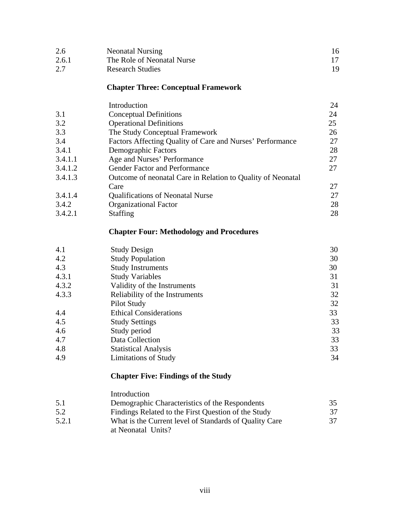| 2.6   | <b>Neonatal Nursing</b>    |     |
|-------|----------------------------|-----|
| 2.6.1 | The Role of Neonatal Nurse |     |
| 2.7   | <b>Research Studies</b>    | 19. |

#### **Chapter Three: Conceptual Framework**

|         | Introduction                                                | 24 |
|---------|-------------------------------------------------------------|----|
| 3.1     | <b>Conceptual Definitions</b>                               | 24 |
| 3.2     | <b>Operational Definitions</b>                              | 25 |
| 3.3     | The Study Conceptual Framework                              | 26 |
| 3.4     | Factors Affecting Quality of Care and Nurses' Performance   | 27 |
| 3.4.1   | Demographic Factors                                         | 28 |
| 3.4.1.1 | Age and Nurses' Performance                                 | 27 |
| 3.4.1.2 | Gender Factor and Performance                               | 27 |
| 3.4.1.3 | Outcome of neonatal Care in Relation to Quality of Neonatal |    |
|         | Care                                                        | 27 |
| 3.4.1.4 | <b>Qualifications of Neonatal Nurse</b>                     | 27 |
| 3.4.2   | <b>Organizational Factor</b>                                | 28 |
| 3.4.2.1 | <b>Staffing</b>                                             | 28 |

#### **Chapter Four: Methodology and Procedures**

| 4.1   | <b>Study Design</b>            | 30 |
|-------|--------------------------------|----|
| 4.2   | <b>Study Population</b>        | 30 |
| 4.3   | <b>Study Instruments</b>       | 30 |
| 4.3.1 | <b>Study Variables</b>         | 31 |
| 4.3.2 | Validity of the Instruments    | 31 |
| 4.3.3 | Reliability of the Instruments | 32 |
|       | Pilot Study                    | 32 |
| 4.4   | <b>Ethical Considerations</b>  | 33 |
| 4.5   | <b>Study Settings</b>          | 33 |
| 4.6   | Study period                   | 33 |
| 4.7   | Data Collection                | 33 |
| 4.8   | <b>Statistical Analysis</b>    | 33 |
| 4.9   | <b>Limitations of Study</b>    | 34 |

#### **Chapter Five: Findings of the Study**

|       | Introduction                                           |    |
|-------|--------------------------------------------------------|----|
| 5.1   | Demographic Characteristics of the Respondents         | 35 |
| 5.2   | Findings Related to the First Question of the Study    | 37 |
| 5.2.1 | What is the Current level of Standards of Quality Care | 37 |
|       | at Neonatal Units?                                     |    |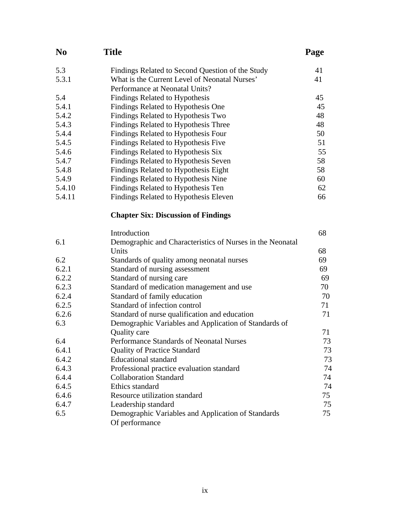| N <sub>0</sub> | <b>Title</b>                                                         | Page |
|----------------|----------------------------------------------------------------------|------|
| 5.3            | Findings Related to Second Question of the Study                     | 41   |
| 5.3.1          | What is the Current Level of Neonatal Nurses'                        | 41   |
|                | Performance at Neonatal Units?                                       |      |
| 5.4            | Findings Related to Hypothesis                                       | 45   |
| 5.4.1          | Findings Related to Hypothesis One                                   | 45   |
| 5.4.2          | Findings Related to Hypothesis Two                                   | 48   |
| 5.4.3          | Findings Related to Hypothesis Three                                 | 48   |
| 5.4.4          | Findings Related to Hypothesis Four                                  | 50   |
| 5.4.5          | Findings Related to Hypothesis Five                                  | 51   |
| 5.4.6          | Findings Related to Hypothesis Six                                   | 55   |
| 5.4.7          | Findings Related to Hypothesis Seven                                 | 58   |
| 5.4.8          | Findings Related to Hypothesis Eight                                 | 58   |
| 5.4.9          | Findings Related to Hypothesis Nine                                  | 60   |
| 5.4.10         | Findings Related to Hypothesis Ten                                   | 62   |
| 5.4.11         | Findings Related to Hypothesis Eleven                                | 66   |
|                | <b>Chapter Six: Discussion of Findings</b>                           |      |
|                | Introduction                                                         | 68   |
| 6.1            | Demographic and Characteristics of Nurses in the Neonatal            |      |
|                | Units                                                                | 68   |
| 6.2            | Standards of quality among neonatal nurses                           | 69   |
| 6.2.1          | Standard of nursing assessment                                       | 69   |
| 6.2.2          | Standard of nursing care                                             | 69   |
| 6.2.3          | Standard of medication management and use                            | 70   |
| 6.2.4          | Standard of family education                                         | 70   |
| 6.2.5          | Standard of infection control                                        | 71   |
| 6.2.6          | Standard of nurse qualification and education                        | 71   |
| 6.3            | Demographic Variables and Application of Standards of                |      |
|                | Quality care                                                         | 71   |
| 6.4            | Performance Standards of Neonatal Nurses                             | 73   |
| 6.4.1          | <b>Quality of Practice Standard</b>                                  | 73   |
| 6.4.2          | <b>Educational</b> standard                                          | 73   |
| 6.4.3          | Professional practice evaluation standard                            | 74   |
| 6.4.4          | <b>Collaboration Standard</b>                                        | 74   |
| 6.4.5          | Ethics standard                                                      | 74   |
| 6.4.6          | Resource utilization standard                                        | 75   |
| 6.4.7          | Leadership standard                                                  | 75   |
| 6.5            | Demographic Variables and Application of Standards<br>Of performance | 75   |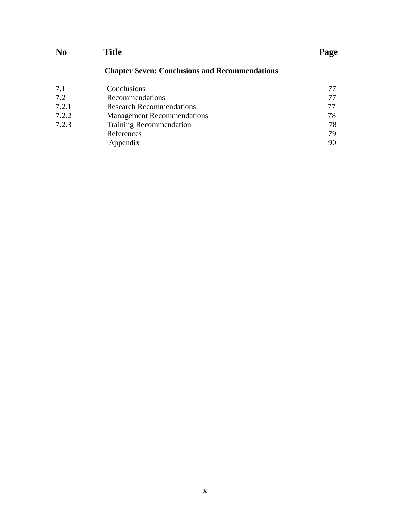| N <sub>0</sub> | <b>Title</b>                                          | Page |
|----------------|-------------------------------------------------------|------|
|                | <b>Chapter Seven: Conclusions and Recommendations</b> |      |
| 7.1            | Conclusions                                           | 77   |
| 7.2            | Recommendations                                       |      |
| 7.2.1          | <b>Research Recommendations</b>                       | 77   |
| 7.2.2          | <b>Management Recommendations</b>                     | 78   |
| 7.2.3          | <b>Training Recommendation</b>                        | 78   |
|                | References                                            | 79   |
|                | Appendix                                              | 90   |